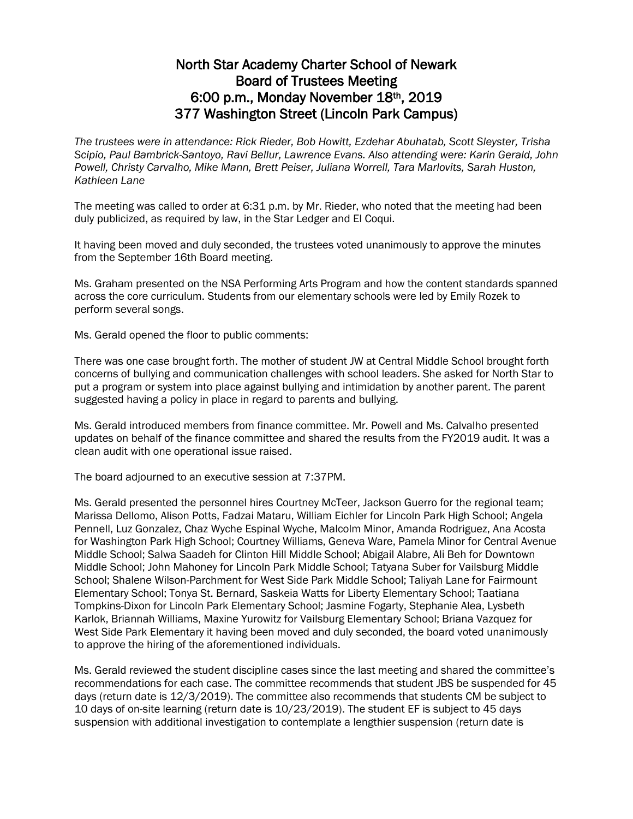## North Star Academy Charter School of Newark Board of Trustees Meeting 6:00 p.m., Monday November 18th, 2019 377 Washington Street (Lincoln Park Campus)

*The trustees were in attendance: Rick Rieder, Bob Howitt, Ezdehar Abuhatab, Scott Sleyster, Trisha Scipio, Paul Bambrick-Santoyo, Ravi Bellur, Lawrence Evans. Also attending were: Karin Gerald, John Powell, Christy Carvalho, Mike Mann, Brett Peiser, Juliana Worrell, Tara Marlovits, Sarah Huston, Kathleen Lane*

The meeting was called to order at 6:31 p.m. by Mr. Rieder, who noted that the meeting had been duly publicized, as required by law, in the Star Ledger and El Coqui.

It having been moved and duly seconded, the trustees voted unanimously to approve the minutes from the September 16th Board meeting.

Ms. Graham presented on the NSA Performing Arts Program and how the content standards spanned across the core curriculum. Students from our elementary schools were led by Emily Rozek to perform several songs.

Ms. Gerald opened the floor to public comments:

There was one case brought forth. The mother of student JW at Central Middle School brought forth concerns of bullying and communication challenges with school leaders. She asked for North Star to put a program or system into place against bullying and intimidation by another parent. The parent suggested having a policy in place in regard to parents and bullying.

Ms. Gerald introduced members from finance committee. Mr. Powell and Ms. Calvalho presented updates on behalf of the finance committee and shared the results from the FY2019 audit. It was a clean audit with one operational issue raised.

The board adjourned to an executive session at 7:37PM.

Ms. Gerald presented the personnel hires Courtney McTeer, Jackson Guerro for the regional team; Marissa Dellomo, Alison Potts, Fadzai Mataru, William Eichler for Lincoln Park High School; Angela Pennell, Luz Gonzalez, Chaz Wyche Espinal Wyche, Malcolm Minor, Amanda Rodriguez, Ana Acosta for Washington Park High School; Courtney Williams, Geneva Ware, Pamela Minor for Central Avenue Middle School; Salwa Saadeh for Clinton Hill Middle School; Abigail Alabre, Ali Beh for Downtown Middle School; John Mahoney for Lincoln Park Middle School; Tatyana Suber for Vailsburg Middle School; Shalene Wilson-Parchment for West Side Park Middle School; Taliyah Lane for Fairmount Elementary School; Tonya St. Bernard, Saskeia Watts for Liberty Elementary School; Taatiana Tompkins-Dixon for Lincoln Park Elementary School; Jasmine Fogarty, Stephanie Alea, Lysbeth Karlok, Briannah Williams, Maxine Yurowitz for Vailsburg Elementary School; Briana Vazquez for West Side Park Elementary it having been moved and duly seconded, the board voted unanimously to approve the hiring of the aforementioned individuals.

Ms. Gerald reviewed the student discipline cases since the last meeting and shared the committee's recommendations for each case. The committee recommends that student JBS be suspended for 45 days (return date is 12/3/2019). The committee also recommends that students CM be subject to 10 days of on-site learning (return date is 10/23/2019). The student EF is subject to 45 days suspension with additional investigation to contemplate a lengthier suspension (return date is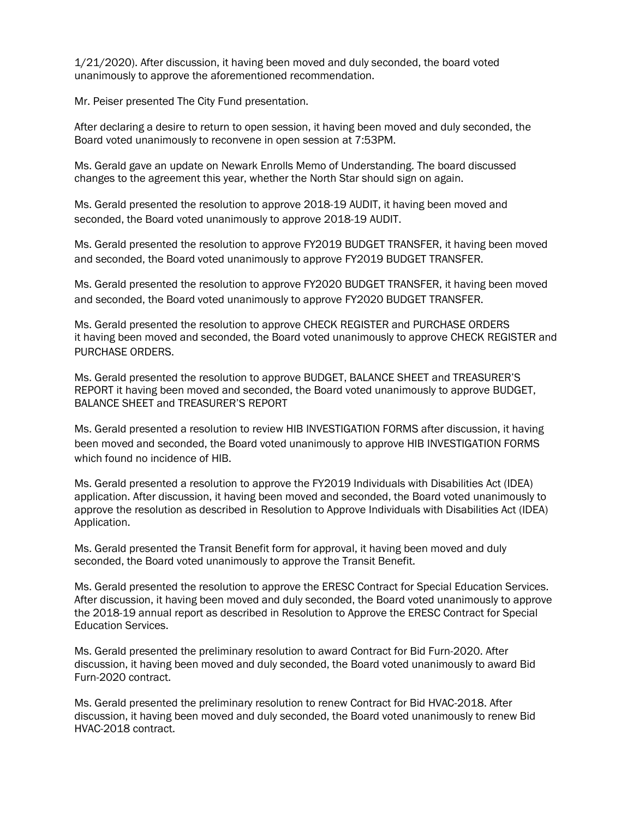1/21/2020). After discussion, it having been moved and duly seconded, the board voted unanimously to approve the aforementioned recommendation.

Mr. Peiser presented The City Fund presentation.

After declaring a desire to return to open session, it having been moved and duly seconded, the Board voted unanimously to reconvene in open session at 7:53PM.

Ms. Gerald gave an update on Newark Enrolls Memo of Understanding. The board discussed changes to the agreement this year, whether the North Star should sign on again.

Ms. Gerald presented the resolution to approve 2018-19 AUDIT, it having been moved and seconded, the Board voted unanimously to approve 2018-19 AUDIT.

Ms. Gerald presented the resolution to approve FY2019 BUDGET TRANSFER, it having been moved and seconded, the Board voted unanimously to approve FY2019 BUDGET TRANSFER.

Ms. Gerald presented the resolution to approve FY2020 BUDGET TRANSFER, it having been moved and seconded, the Board voted unanimously to approve FY2020 BUDGET TRANSFER.

Ms. Gerald presented the resolution to approve CHECK REGISTER and PURCHASE ORDERS it having been moved and seconded, the Board voted unanimously to approve CHECK REGISTER and PURCHASE ORDERS.

Ms. Gerald presented the resolution to approve BUDGET, BALANCE SHEET and TREASURER'S REPORT it having been moved and seconded, the Board voted unanimously to approve BUDGET, BALANCE SHEET and TREASURER'S REPORT

Ms. Gerald presented a resolution to review HIB INVESTIGATION FORMS after discussion, it having been moved and seconded, the Board voted unanimously to approve HIB INVESTIGATION FORMS which found no incidence of HIB.

Ms. Gerald presented a resolution to approve the FY2019 Individuals with Disabilities Act (IDEA) application. After discussion, it having been moved and seconded, the Board voted unanimously to approve the resolution as described in Resolution to Approve Individuals with Disabilities Act (IDEA) Application.

Ms. Gerald presented the Transit Benefit form for approval, it having been moved and duly seconded, the Board voted unanimously to approve the Transit Benefit.

Ms. Gerald presented the resolution to approve the ERESC Contract for Special Education Services. After discussion, it having been moved and duly seconded, the Board voted unanimously to approve the 2018-19 annual report as described in Resolution to Approve the ERESC Contract for Special Education Services.

Ms. Gerald presented the preliminary resolution to award Contract for Bid Furn-2020. After discussion, it having been moved and duly seconded, the Board voted unanimously to award Bid Furn-2020 contract.

Ms. Gerald presented the preliminary resolution to renew Contract for Bid HVAC-2018. After discussion, it having been moved and duly seconded, the Board voted unanimously to renew Bid HVAC-2018 contract.